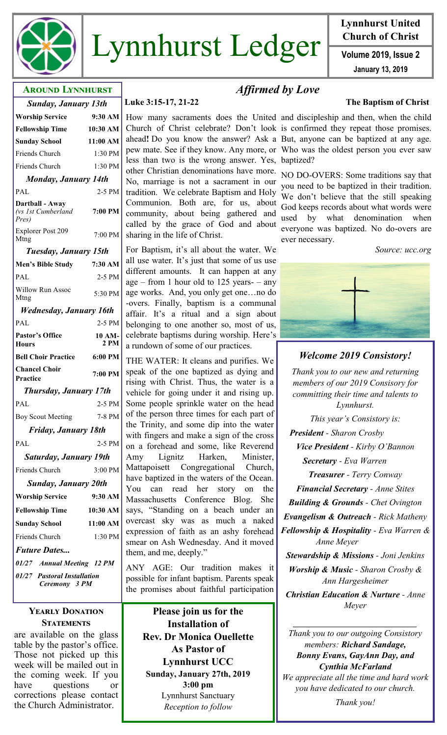

# Lynnhurst Ledger **Volume 2019**, Issue 2

# **Lynnhurst United Church of Christ**

**January 13, 2019**

# **Around Lynnhurst**

| <b>Sunday, January 13th</b>                                                                                              |          |  |
|--------------------------------------------------------------------------------------------------------------------------|----------|--|
|                                                                                                                          |          |  |
| <b>Fellowship Time</b>                                                                                                   | 10:30 AM |  |
| <b>Sunday School</b>                                                                                                     | 11:00 AM |  |
| Friends Church                                                                                                           | 1:30 PM  |  |
| Friends Church                                                                                                           | 1:30 PM  |  |
| <b>Monday, January 14th</b>                                                                                              |          |  |
| <b>PAL</b>                                                                                                               | $2-5$ PM |  |
| Dartball - Away<br>$\ell_{\text{max}}$ 1 $\ell_{\text{max}}$ $\ell_{\text{max}}$ $\ell_{\text{max}}$ $\ell_{\text{max}}$ | 7.00 DM  |  |

*(vs 1st Cumberland Pres)* **7:00 PM** Explorer Post 209 7:00 PM

*Tuesday, January 15th*

| <b>Men's Bible Study</b>                     | 7:30 AM        |  |
|----------------------------------------------|----------------|--|
| PAL                                          | 2-5 PM         |  |
| <b>Willow Run Assoc</b><br>Mtng              | 5:30 PM        |  |
| Wednesday, January 16th                      |                |  |
| PAL                                          | 2-5 PM         |  |
| <b>Pastor's Office</b><br><b>Hours</b>       | 10 AM-<br>2 PM |  |
| <b>Bell Choir Practice</b>                   | $6:00$ PM      |  |
| <b>Chancel Choir</b><br>Practice             | 7:00 PM        |  |
| <b>Thursday, January 17th</b>                |                |  |
| PAL                                          | 2-5 PM         |  |
| <b>Boy Scout Meeting</b>                     | 7-8 PM         |  |
| Friday, January 18th                         |                |  |
| PAL                                          | $2-5$ PM       |  |
| <b>Saturday, January 19th</b>                |                |  |
| <b>Friends Church</b>                        | 3:00 PM        |  |
| <b>Sunday, January 20th</b>                  |                |  |
| <b>Worship Service</b>                       | 9:30 AM        |  |
| <b>Fellowship Time</b>                       | $10:30$ AM     |  |
| <b>Sunday School</b>                         | 11:00 AM       |  |
| Friends Church                               | $1:30$ PM      |  |
| <b>Future Dates</b>                          |                |  |
| 01/27 Annual Meeting 12 PM                   |                |  |
| 01/27 Pastoral Installation<br>Ceremony 3 PM |                |  |

#### **Yearly Donation Statements**

are available on the glass table by the pastor's office. Those not picked up this week will be mailed out in the coming week. If you have questions or corrections please contact the Church Administrator.

# **Luke 3:15-17, 21-22 The Baptism of Christ**

How many sacraments does the United and discipleship and then, when the child Church of Christ celebrate? Don't look is confirmed they repeat those promises. ahead**!** Do you know the answer? Ask a But, anyone can be baptized at any age. pew mate. See if they know. Any more, or Who was the oldest person you ever saw less than two is the wrong answer. Yes, baptized? other Christian denominations have more.

No, marriage is not a sacrament in our tradition. We celebrate Baptism and Holy Communion. Both are, for us, about community, about being gathered and called by the grace of God and about sharing in the life of Christ.

For Baptism, it's all about the water. We all use water. It's just that some of us use different amounts. It can happen at any age – from 1 hour old to 125 years – any age works. And, you only get one…no do -overs. Finally, baptism is a communal affair. It's a ritual and a sign about belonging to one another so, most of us, celebrate baptisms during worship. Here's a rundown of some of our practices.

THE WATER: It cleans and purifies. We speak of the one baptized as dying and rising with Christ. Thus, the water is a vehicle for going under it and rising up. Some people sprinkle water on the head of the person three times for each part of the Trinity, and some dip into the water with fingers and make a sign of the cross on a forehead and some, like Reverend Amy Lignitz Harken, Minister, Mattapoisett Congregational Church, have baptized in the waters of the Ocean. You can read her story on the Massachusetts Conference Blog. She says, "Standing on a beach under an overcast sky was as much a naked expression of faith as an ashy forehead smear on Ash Wednesday. And it moved them, and me, deeply."

ANY AGE: Our tradition makes it possible for infant baptism. Parents speak the promises about faithful participation

**Please join us for the Installation of Rev. Dr Monica Ouellette As Pastor of Lynnhurst UCC Sunday, January 27th, 2019 3:00 pm** Lynnhurst Sanctuary *Reception to follow*

# *Affirmed by Love*

NO DO-OVERS: Some traditions say that you need to be baptized in their tradition. We don't believe that the still speaking God keeps records about what words were used by what denomination when everyone was baptized. No do-overs are ever necessary.

*Source: ucc.org*



# *Welcome 2019 Consistory!*

*Thank you to our new and returning members of our 2019 Consisory for committing their time and talents to Lynnhurst. This year's Consistory is: President - Sharon Crosby Vice President - Kirby O'Bannon Secretary - Eva Warren Treasurer - Terry Conway Financial Secretary - Anne Stites Building & Grounds - Chet Ovington Evangelism & Outreach - Rick Matheny Fellowship & Hospitality - Eva Warren & Anne Meyer Stewardship & Missions - Joni Jenkins Worship & Music - Sharon Crosby & Ann Hargesheimer Christian Education & Nurture - Anne Meyer*

*Thank you to our outgoing Consistory members: Richard Sandage, Bonny Evans, GayAnn Day, and Cynthia McFarland We appreciate all the time and hard work you have dedicated to our church.* 

*Thank you!*